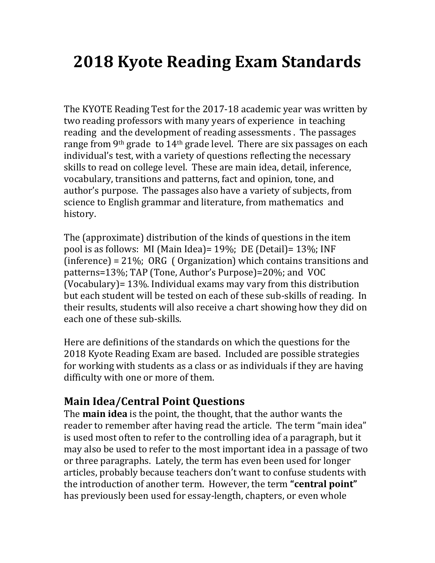# **2018 Kyote Reading Exam Standards**

The KYOTE Reading Test for the 2017-18 academic year was written by two reading professors with many years of experience in teaching reading and the development of reading assessments . The passages range from 9th grade to 14th grade level. There are six passages on each individual's test, with a variety of questions reflecting the necessary skills to read on college level. These are main idea, detail, inference, vocabulary, transitions and patterns, fact and opinion, tone, and author's purpose. The passages also have a variety of subjects, from science to English grammar and literature, from mathematics and history.

The (approximate) distribution of the kinds of questions in the item pool is as follows: MI (Main Idea)= 19%; DE (Detail)= 13%; INF (inference) = 21%; ORG ( Organization) which contains transitions and patterns=13%; TAP (Tone, Author's Purpose)=20%; and VOC (Vocabulary)= 13%. Individual exams may vary from this distribution but each student will be tested on each of these sub-skills of reading. In their results, students will also receive a chart showing how they did on each one of these sub-skills.

Here are definitions of the standards on which the questions for the 2018 Kyote Reading Exam are based. Included are possible strategies for working with students as a class or as individuals if they are having difficulty with one or more of them.

# **Main Idea/Central Point Questions**

The **main idea** is the point, the thought, that the author wants the reader to remember after having read the article. The term "main idea" is used most often to refer to the controlling idea of a paragraph, but it may also be used to refer to the most important idea in a passage of two or three paragraphs. Lately, the term has even been used for longer articles, probably because teachers don't want to confuse students with the introduction of another term. However, the term **"central point"** has previously been used for essay-length, chapters, or even whole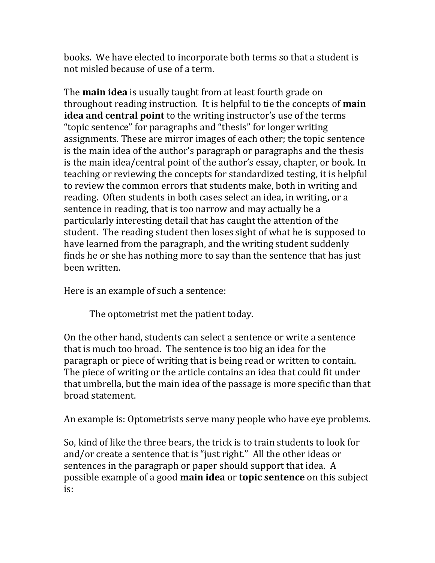books. We have elected to incorporate both terms so that a student is not misled because of use of a term.

The **main idea** is usually taught from at least fourth grade on throughout reading instruction. It is helpful to tie the concepts of **main idea and central point** to the writing instructor's use of the terms "topic sentence" for paragraphs and "thesis" for longer writing assignments. These are mirror images of each other; the topic sentence is the main idea of the author's paragraph or paragraphs and the thesis is the main idea/central point of the author's essay, chapter, or book. In teaching or reviewing the concepts for standardized testing, it is helpful to review the common errors that students make, both in writing and reading. Often students in both cases select an idea, in writing, or a sentence in reading, that is too narrow and may actually be a particularly interesting detail that has caught the attention of the student. The reading student then loses sight of what he is supposed to have learned from the paragraph, and the writing student suddenly finds he or she has nothing more to say than the sentence that has just been written.

Here is an example of such a sentence:

The optometrist met the patient today.

On the other hand, students can select a sentence or write a sentence that is much too broad. The sentence is too big an idea for the paragraph or piece of writing that is being read or written to contain. The piece of writing or the article contains an idea that could fit under that umbrella, but the main idea of the passage is more specific than that broad statement.

An example is: Optometrists serve many people who have eye problems.

So, kind of like the three bears, the trick is to train students to look for and/or create a sentence that is "just right." All the other ideas or sentences in the paragraph or paper should support that idea. A possible example of a good **main idea** or **topic sentence** on this subject is: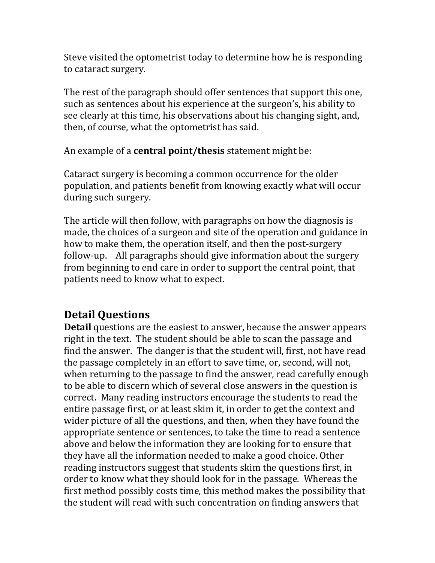Steve visited the optometrist today to determine how he is responding to cataract surgery.

The rest of the paragraph should offer sentences that support this one, such as sentences about his experience at the surgeon's, his ability to see clearly at this time, his observations about his changing sight, and, then, of course, what the optometrist has said.

An example of a **central point/thesis** statement might be:

Cataract surgery is becoming a common occurrence for the older population, and patients benefit from knowing exactly what will occur during such surgery.

The article will then follow, with paragraphs on how the diagnosis is made, the choices of a surgeon and site of the operation and guidance in how to make them, the operation itself, and then the post-surgery follow-up. All paragraphs should give information about the surgery from beginning to end care in order to support the central point, that patients need to know what to expect.

# **Detail Questions**

**Detail** questions are the easiest to answer, because the answer appears right in the text. The student should be able to scan the passage and find the answer. The danger is that the student will, first, not have read the passage completely in an effort to save time, or, second, will not, when returning to the passage to find the answer, read carefully enough to be able to discern which of several close answers in the question is correct. Many reading instructors encourage the students to read the entire passage first, or at least skim it, in order to get the context and wider picture of all the questions, and then, when they have found the appropriate sentence or sentences, to take the time to read a sentence above and below the information they are looking for to ensure that they have all the information needed to make a good choice. Other reading instructors suggest that students skim the questions first, in order to know what they should look for in the passage. Whereas the first method possibly costs time, this method makes the possibility that the student will read with such concentration on finding answers that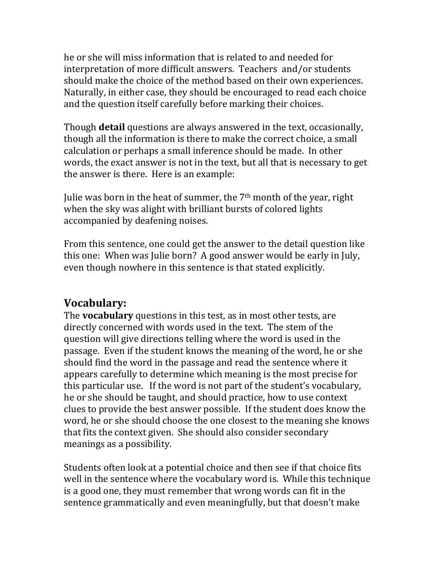he or she will miss information that is related to and needed for interpretation of more difficult answers. Teachers and/or students should make the choice of the method based on their own experiences. Naturally, in either case, they should be encouraged to read each choice and the question itself carefully before marking their choices.

Though **detail** questions are always answered in the text, occasionally, though all the information is there to make the correct choice, a small calculation or perhaps a small inference should be made. In other words, the exact answer is not in the text, but all that is necessary to get the answer is there. Here is an example:

Julie was born in the heat of summer, the 7th month of the year, right when the sky was alight with brilliant bursts of colored lights accompanied by deafening noises.

From this sentence, one could get the answer to the detail question like this one: When was Julie born? A good answer would be early in July, even though nowhere in this sentence is that stated explicitly.

# **Vocabulary:**

The **vocabulary** questions in this test, as in most other tests, are directly concerned with words used in the text. The stem of the question will give directions telling where the word is used in the passage. Even if the student knows the meaning of the word, he or she should find the word in the passage and read the sentence where it appears carefully to determine which meaning is the most precise for this particular use. If the word is not part of the student's vocabulary, he or she should be taught, and should practice, how to use context clues to provide the best answer possible. If the student does know the word, he or she should choose the one closest to the meaning she knows that fits the context given. She should also consider secondary meanings as a possibility.

Students often look at a potential choice and then see if that choice fits well in the sentence where the vocabulary word is. While this technique is a good one, they must remember that wrong words can fit in the sentence grammatically and even meaningfully, but that doesn't make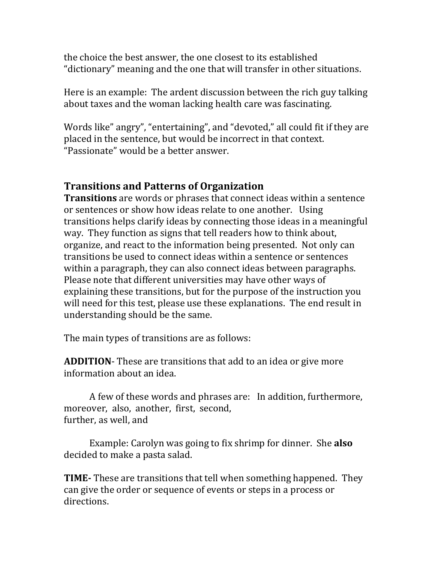the choice the best answer, the one closest to its established "dictionary" meaning and the one that will transfer in other situations.

Here is an example: The ardent discussion between the rich guy talking about taxes and the woman lacking health care was fascinating.

Words like" angry", "entertaining", and "devoted," all could fit if they are placed in the sentence, but would be incorrect in that context. "Passionate" would be a better answer.

## **Transitions and Patterns of Organization**

**Transitions** are words or phrases that connect ideas within a sentence or sentences or show how ideas relate to one another. Using transitions helps clarify ideas by connecting those ideas in a meaningful way. They function as signs that tell readers how to think about, organize, and react to the information being presented. Not only can transitions be used to connect ideas within a sentence or sentences within a paragraph, they can also connect ideas between paragraphs. Please note that different universities may have other ways of explaining these transitions, but for the purpose of the instruction you will need for this test, please use these explanations. The end result in understanding should be the same.

The main types of transitions are as follows:

**ADDITION**- These are transitions that add to an idea or give more information about an idea.

A few of these words and phrases are: In addition, furthermore, moreover, also, another, first, second, further, as well, and

Example: Carolyn was going to fix shrimp for dinner. She **also** decided to make a pasta salad.

**TIME-** These are transitions that tell when something happened. They can give the order or sequence of events or steps in a process or directions.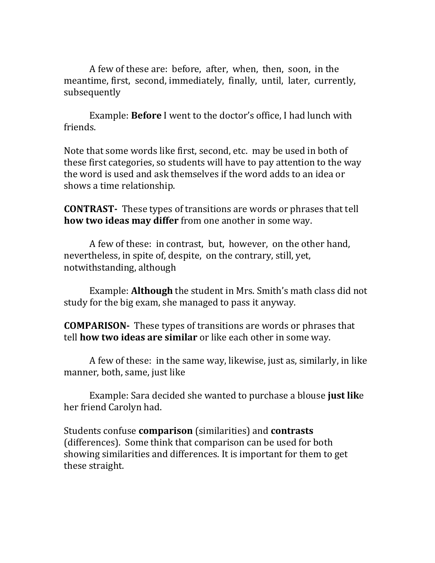A few of these are: before, after, when, then, soon, in the meantime, first, second, immediately, finally, until, later, currently, subsequently

Example: **Before** I went to the doctor's office, I had lunch with friends.

Note that some words like first, second, etc. may be used in both of these first categories, so students will have to pay attention to the way the word is used and ask themselves if the word adds to an idea or shows a time relationship.

**CONTRAST-** These types of transitions are words or phrases that tell **how two ideas may differ** from one another in some way.

A few of these: in contrast, but, however, on the other hand, nevertheless, in spite of, despite, on the contrary, still, yet, notwithstanding, although

Example: **Although** the student in Mrs. Smith's math class did not study for the big exam, she managed to pass it anyway.

**COMPARISON-** These types of transitions are words or phrases that tell **how two ideas are similar** or like each other in some way.

A few of these: in the same way, likewise, just as, similarly, in like manner, both, same, just like

Example: Sara decided she wanted to purchase a blouse **just lik**e her friend Carolyn had.

Students confuse **comparison** (similarities) and **contrasts** (differences). Some think that comparison can be used for both showing similarities and differences. It is important for them to get these straight.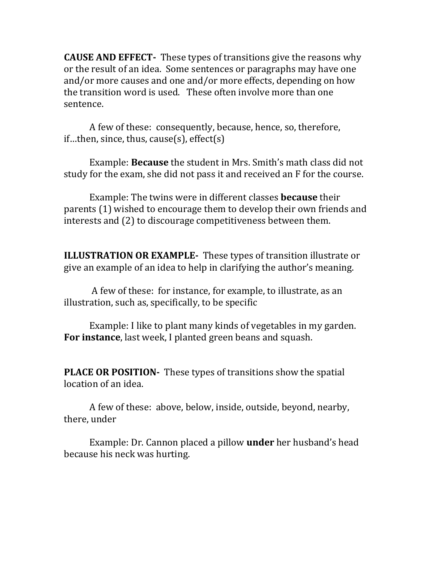**CAUSE AND EFFECT-** These types of transitions give the reasons why or the result of an idea. Some sentences or paragraphs may have one and/or more causes and one and/or more effects, depending on how the transition word is used. These often involve more than one sentence.

A few of these: consequently, because, hence, so, therefore, if...then, since, thus, cause(s), effect(s)

Example: **Because** the student in Mrs. Smith's math class did not study for the exam, she did not pass it and received an F for the course.

Example: The twins were in different classes **because** their parents (1) wished to encourage them to develop their own friends and interests and (2) to discourage competitiveness between them.

**ILLUSTRATION OR EXAMPLE-** These types of transition illustrate or give an example of an idea to help in clarifying the author's meaning.

A few of these: for instance, for example, to illustrate, as an illustration, such as, specifically, to be specific

Example: I like to plant many kinds of vegetables in my garden. **For instance**, last week, I planted green beans and squash.

**PLACE OR POSITION-** These types of transitions show the spatial location of an idea.

A few of these: above, below, inside, outside, beyond, nearby, there, under

Example: Dr. Cannon placed a pillow **under** her husband's head because his neck was hurting.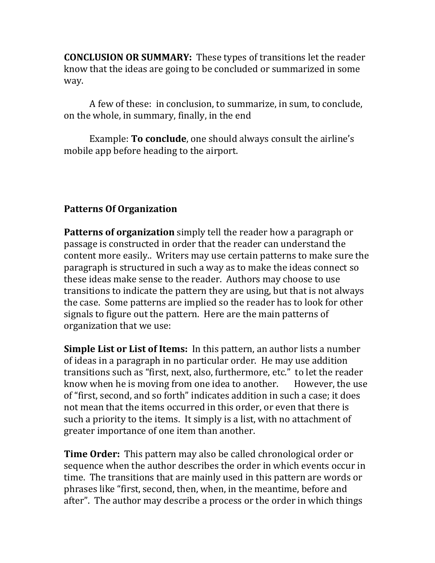**CONCLUSION OR SUMMARY:** These types of transitions let the reader know that the ideas are going to be concluded or summarized in some way.

A few of these: in conclusion, to summarize, in sum, to conclude, on the whole, in summary, finally, in the end

Example: **To conclude**, one should always consult the airline's mobile app before heading to the airport.

#### **Patterns Of Organization**

**Patterns of organization** simply tell the reader how a paragraph or passage is constructed in order that the reader can understand the content more easily.. Writers may use certain patterns to make sure the paragraph is structured in such a way as to make the ideas connect so these ideas make sense to the reader. Authors may choose to use transitions to indicate the pattern they are using, but that is not always the case. Some patterns are implied so the reader has to look for other signals to figure out the pattern. Here are the main patterns of organization that we use:

**Simple List or List of Items:** In this pattern, an author lists a number of ideas in a paragraph in no particular order. He may use addition transitions such as "first, next, also, furthermore, etc." to let the reader know when he is moving from one idea to another. However, the use of "first, second, and so forth" indicates addition in such a case; it does not mean that the items occurred in this order, or even that there is such a priority to the items. It simply is a list, with no attachment of greater importance of one item than another.

**Time Order:** This pattern may also be called chronological order or sequence when the author describes the order in which events occur in time. The transitions that are mainly used in this pattern are words or phrases like "first, second, then, when, in the meantime, before and after". The author may describe a process or the order in which things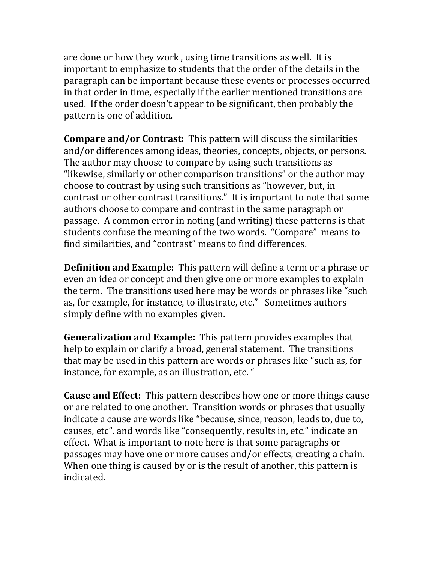are done or how they work , using time transitions as well. It is important to emphasize to students that the order of the details in the paragraph can be important because these events or processes occurred in that order in time, especially if the earlier mentioned transitions are used. If the order doesn't appear to be significant, then probably the pattern is one of addition.

**Compare and/or Contrast:** This pattern will discuss the similarities and/or differences among ideas, theories, concepts, objects, or persons. The author may choose to compare by using such transitions as "likewise, similarly or other comparison transitions" or the author may choose to contrast by using such transitions as "however, but, in contrast or other contrast transitions." It is important to note that some authors choose to compare and contrast in the same paragraph or passage. A common error in noting (and writing) these patterns is that students confuse the meaning of the two words. "Compare" means to find similarities, and "contrast" means to find differences.

**Definition and Example:** This pattern will define a term or a phrase or even an idea or concept and then give one or more examples to explain the term. The transitions used here may be words or phrases like "such as, for example, for instance, to illustrate, etc." Sometimes authors simply define with no examples given.

**Generalization and Example:** This pattern provides examples that help to explain or clarify a broad, general statement. The transitions that may be used in this pattern are words or phrases like "such as, for instance, for example, as an illustration, etc. "

**Cause and Effect:** This pattern describes how one or more things cause or are related to one another. Transition words or phrases that usually indicate a cause are words like "because, since, reason, leads to, due to, causes, etc". and words like "consequently, results in, etc." indicate an effect. What is important to note here is that some paragraphs or passages may have one or more causes and/or effects, creating a chain. When one thing is caused by or is the result of another, this pattern is indicated.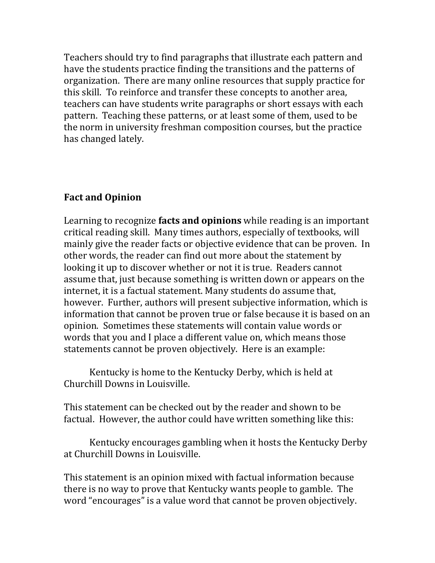Teachers should try to find paragraphs that illustrate each pattern and have the students practice finding the transitions and the patterns of organization. There are many online resources that supply practice for this skill. To reinforce and transfer these concepts to another area, teachers can have students write paragraphs or short essays with each pattern. Teaching these patterns, or at least some of them, used to be the norm in university freshman composition courses, but the practice has changed lately.

## **Fact and Opinion**

Learning to recognize **facts and opinions** while reading is an important critical reading skill. Many times authors, especially of textbooks, will mainly give the reader facts or objective evidence that can be proven. In other words, the reader can find out more about the statement by looking it up to discover whether or not it is true. Readers cannot assume that, just because something is written down or appears on the internet, it is a factual statement. Many students do assume that, however. Further, authors will present subjective information, which is information that cannot be proven true or false because it is based on an opinion. Sometimes these statements will contain value words or words that you and I place a different value on, which means those statements cannot be proven objectively. Here is an example:

Kentucky is home to the Kentucky Derby, which is held at Churchill Downs in Louisville.

This statement can be checked out by the reader and shown to be factual. However, the author could have written something like this:

Kentucky encourages gambling when it hosts the Kentucky Derby at Churchill Downs in Louisville.

This statement is an opinion mixed with factual information because there is no way to prove that Kentucky wants people to gamble. The word "encourages" is a value word that cannot be proven objectively.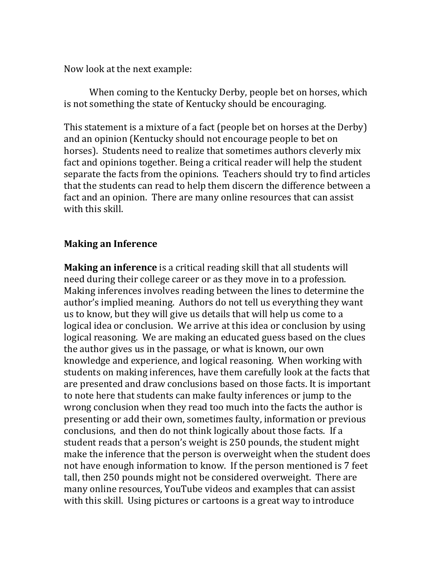Now look at the next example:

When coming to the Kentucky Derby, people bet on horses, which is not something the state of Kentucky should be encouraging.

This statement is a mixture of a fact (people bet on horses at the Derby) and an opinion (Kentucky should not encourage people to bet on horses). Students need to realize that sometimes authors cleverly mix fact and opinions together. Being a critical reader will help the student separate the facts from the opinions. Teachers should try to find articles that the students can read to help them discern the difference between a fact and an opinion. There are many online resources that can assist with this skill.

#### **Making an Inference**

**Making an inference** is a critical reading skill that all students will need during their college career or as they move in to a profession. Making inferences involves reading between the lines to determine the author's implied meaning. Authors do not tell us everything they want us to know, but they will give us details that will help us come to a logical idea or conclusion. We arrive at this idea or conclusion by using logical reasoning. We are making an educated guess based on the clues the author gives us in the passage, or what is known, our own knowledge and experience, and logical reasoning. When working with students on making inferences, have them carefully look at the facts that are presented and draw conclusions based on those facts. It is important to note here that students can make faulty inferences or jump to the wrong conclusion when they read too much into the facts the author is presenting or add their own, sometimes faulty, information or previous conclusions, and then do not think logically about those facts. If a student reads that a person's weight is 250 pounds, the student might make the inference that the person is overweight when the student does not have enough information to know. If the person mentioned is 7 feet tall, then 250 pounds might not be considered overweight. There are many online resources, YouTube videos and examples that can assist with this skill. Using pictures or cartoons is a great way to introduce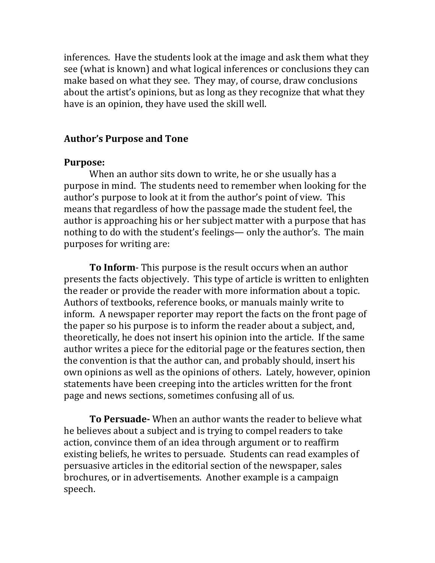inferences. Have the students look at the image and ask them what they see (what is known) and what logical inferences or conclusions they can make based on what they see. They may, of course, draw conclusions about the artist's opinions, but as long as they recognize that what they have is an opinion, they have used the skill well.

#### **Author's Purpose and Tone**

#### **Purpose:**

When an author sits down to write, he or she usually has a purpose in mind. The students need to remember when looking for the author's purpose to look at it from the author's point of view. This means that regardless of how the passage made the student feel, the author is approaching his or her subject matter with a purpose that has nothing to do with the student's feelings— only the author's. The main purposes for writing are:

**To Inform**- This purpose is the result occurs when an author presents the facts objectively. This type of article is written to enlighten the reader or provide the reader with more information about a topic. Authors of textbooks, reference books, or manuals mainly write to inform. A newspaper reporter may report the facts on the front page of the paper so his purpose is to inform the reader about a subject, and, theoretically, he does not insert his opinion into the article. If the same author writes a piece for the editorial page or the features section, then the convention is that the author can, and probably should, insert his own opinions as well as the opinions of others. Lately, however, opinion statements have been creeping into the articles written for the front page and news sections, sometimes confusing all of us.

**To Persuade-** When an author wants the reader to believe what he believes about a subject and is trying to compel readers to take action, convince them of an idea through argument or to reaffirm existing beliefs, he writes to persuade. Students can read examples of persuasive articles in the editorial section of the newspaper, sales brochures, or in advertisements. Another example is a campaign speech.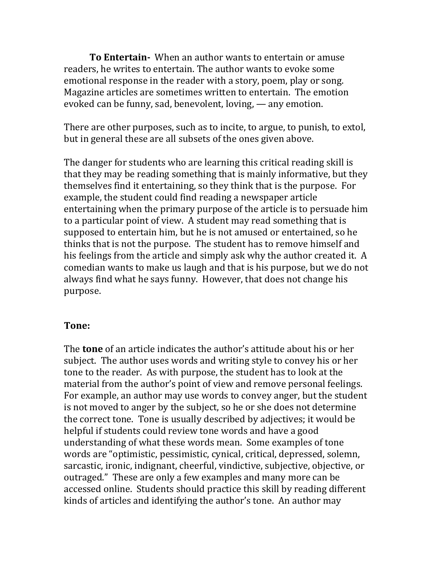**To Entertain-** When an author wants to entertain or amuse readers, he writes to entertain. The author wants to evoke some emotional response in the reader with a story, poem, play or song. Magazine articles are sometimes written to entertain. The emotion evoked can be funny, sad, benevolent, loving, — any emotion.

There are other purposes, such as to incite, to argue, to punish, to extol, but in general these are all subsets of the ones given above.

The danger for students who are learning this critical reading skill is that they may be reading something that is mainly informative, but they themselves find it entertaining, so they think that is the purpose. For example, the student could find reading a newspaper article entertaining when the primary purpose of the article is to persuade him to a particular point of view. A student may read something that is supposed to entertain him, but he is not amused or entertained, so he thinks that is not the purpose. The student has to remove himself and his feelings from the article and simply ask why the author created it. A comedian wants to make us laugh and that is his purpose, but we do not always find what he says funny. However, that does not change his purpose.

#### **Tone:**

The **tone** of an article indicates the author's attitude about his or her subject. The author uses words and writing style to convey his or her tone to the reader. As with purpose, the student has to look at the material from the author's point of view and remove personal feelings. For example, an author may use words to convey anger, but the student is not moved to anger by the subject, so he or she does not determine the correct tone. Tone is usually described by adjectives; it would be helpful if students could review tone words and have a good understanding of what these words mean. Some examples of tone words are "optimistic, pessimistic, cynical, critical, depressed, solemn, sarcastic, ironic, indignant, cheerful, vindictive, subjective, objective, or outraged." These are only a few examples and many more can be accessed online. Students should practice this skill by reading different kinds of articles and identifying the author's tone. An author may